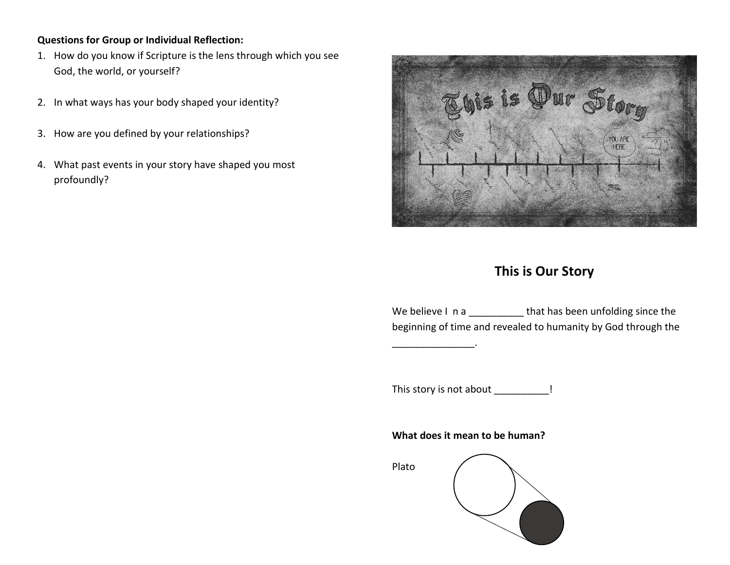## **Questions for Group or Individual Reflection:**

- 1. How do you know if Scripture is the lens through which you see God, the world, or yourself?
- 2. In what ways has your body shaped your identity?
- 3. How are you defined by your relationships?
- 4. What past events in your story have shaped you most profoundly?



# **This is Our Story**

We believe I n a \_\_\_\_\_\_\_\_\_\_\_\_ that has been unfolding since the beginning of time and revealed to humanity by God through the

This story is not about \_\_\_\_\_\_\_\_\_\_!

\_\_\_\_\_\_\_\_\_\_\_\_\_\_\_.

**What does it mean to be human?**